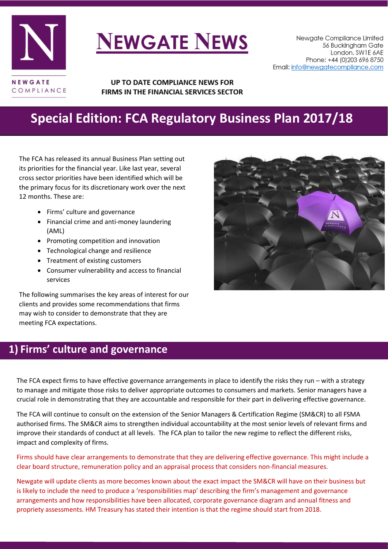

# **NEWGATE NEWS**

UP TO DATE COMPLIANCE NEWS FOR FIRMS IN THE FINANCIAL SERVICES SECTOR

# **Special Edition: FCA Regulatory Business Plan 2017/18**

The FCA has released its annual Business Plan setting out its priorities for the financial year. Like last year, several cross sector priorities have been identified which will be the primary focus for its discretionary work over the next 12 months. These are:

- Firms' culture and governance
- Financial crime and anti-money laundering (AML)
- Promoting competition and innovation
- Technological change and resilience
- Treatment of existing customers
- Consumer vulnerability and access to financial services

The following summarises the key areas of interest for our clients and provides some recommendations that firms may wish to consider to demonstrate that they are meeting FCA expectations.

### **1) Firms' culture and governance**

The FCA expect firms to have effective governance arrangements in place to identify the risks they run – with a strategy to manage and mitigate those risks to deliver appropriate outcomes to consumers and markets. Senior managers have a crucial role in demonstrating that they are accountable and responsible for their part in delivering effective governance.

The FCA will continue to consult on the extension of the Senior Managers & Certification Regime (SM&CR) to all FSMA authorised firms. The SM&CR aims to strengthen individual accountability at the most senior levels of relevant firms and improve their standards of conduct at all levels. The FCA plan to tailor the new regime to reflect the different risks, impact and complexity of firms.

Firms should have clear arrangements to demonstrate that they are delivering effective governance. This might include a clear board structure, remuneration policy and an appraisal process that considers non-financial measures.

Newgate will update clients as more becomes known about the exact impact the SM&CR will have on their business but is likely to include the need to produce a 'responsibilities map' describing the firm's management and governance arrangements and how responsibilities have been allocated, corporate governance diagram and annual fitness and propriety assessments. HM Treasury has stated their intention is that the regime should start from 2018.

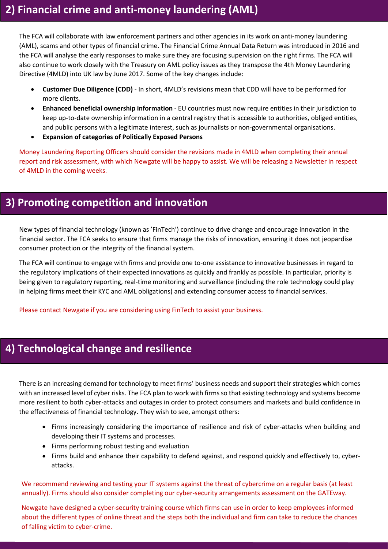The FCA will collaborate with law enforcement partners and other agencies in its work on anti-money laundering (AML), scams and other types of financial crime. The Financial Crime Annual Data Return was introduced in 2016 and the FCA will analyse the early responses to make sure they are focusing supervision on the right firms. The FCA will also continue to work closely with the Treasury on AML policy issues as they transpose the 4th Money Laundering Directive (4MLD) into UK law by June 2017. Some of the key changes include:

- **Customer Due Diligence (CDD)** In short, 4MLD's revisions mean that CDD will have to be performed for more clients.
- **Enhanced beneficial ownership information** EU countries must now require entities in their jurisdiction to keep up-to-date ownership information in a central registry that is accessible to authorities, obliged entities, and public persons with a legitimate interest, such as journalists or non-governmental organisations.
- **Expansion of categories of Politically Exposed Persons**

Money Laundering Reporting Officers should consider the revisions made in 4MLD when completing their annual report and risk assessment, with which Newgate will be happy to assist. We will be releasing a Newsletter in respect of 4MLD in the coming weeks.

#### **3) Promoting competition and innovation**

New types of financial technology (known as 'FinTech') continue to drive change and encourage innovation in the financial sector. The FCA seeks to ensure that firms manage the risks of innovation, ensuring it does not jeopardise consumer protection or the integrity of the financial system.

The FCA will continue to engage with firms and provide one to-one assistance to innovative businesses in regard to the regulatory implications of their expected innovations as quickly and frankly as possible. In particular, priority is being given to regulatory reporting, real-time monitoring and surveillance (including the role technology could play in helping firms meet their KYC and AML obligations) and extending consumer access to financial services.

Please contact Newgate if you are considering using FinTech to assist your business.

## **4) Technological change and resilience**

There is an increasing demand for technology to meet firms' business needs and support their strategies which comes with an increased level of cyber risks. The FCA plan to work with firms so that existing technology and systems become more resilient to both cyber-attacks and outages in order to protect consumers and markets and build confidence in the effectiveness of financial technology. They wish to see, amongst others:

- Firms increasingly considering the importance of resilience and risk of cyber-attacks when building and developing their IT systems and processes.
- Firms performing robust testing and evaluation
- Firms build and enhance their capability to defend against, and respond quickly and effectively to, cyberattacks.

We recommend reviewing and testing your IT systems against the threat of cybercrime on a regular basis (at least annually). Firms should also consider completing our cyber-security arrangements assessment on the GATEway.

Newgate have designed a cyber-security training course which firms can use in order to keep employees informed about the different types of online threat and the steps both the individual and firm can take to reduce the chances of falling victim to cyber-crime.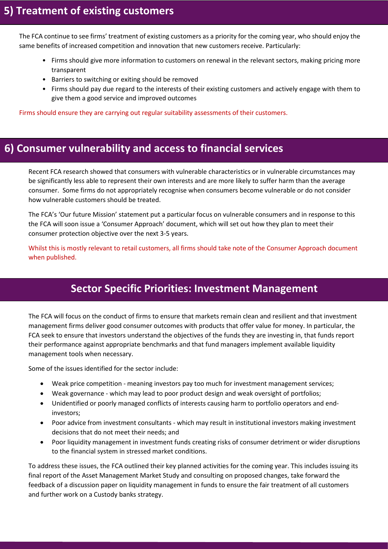The FCA continue to see firms' treatment of existing customers as a priority for the coming year, who should enjoy the same benefits of increased competition and innovation that new customers receive. Particularly:

- Firms should give more information to customers on renewal in the relevant sectors, making pricing more transparent
- Barriers to switching or exiting should be removed
- Firms should pay due regard to the interests of their existing customers and actively engage with them to give them a good service and improved outcomes

Firms should ensure they are carrying out regular suitability assessments of their customers.

#### **6) Consumer vulnerability and access to financial services**

Recent FCA research showed that consumers with vulnerable characteristics or in vulnerable circumstances may be significantly less able to represent their own interests and are more likely to suffer harm than the average consumer. Some firms do not appropriately recognise when consumers become vulnerable or do not consider how vulnerable customers should be treated.

The FCA's 'Our future Mission' statement put a particular focus on vulnerable consumers and in response to this the FCA will soon issue a 'Consumer Approach' document, which will set out how they plan to meet their consumer protection objective over the next 3-5 years.

Whilst this is mostly relevant to retail customers, all firms should take note of the Consumer Approach document when published.

## **Sector Specific Priorities: Investment Management**

The FCA will focus on the conduct of firms to ensure that markets remain clean and resilient and that investment management firms deliver good consumer outcomes with products that offer value for money. In particular, the FCA seek to ensure that investors understand the objectives of the funds they are investing in, that funds report their performance against appropriate benchmarks and that fund managers implement available liquidity management tools when necessary.

Some of the issues identified for the sector include:

- Weak price competition meaning investors pay too much for investment management services;
- Weak governance which may lead to poor product design and weak oversight of portfolios;
- Unidentified or poorly managed conflicts of interests causing harm to portfolio operators and endinvestors;
- Poor advice from investment consultants which may result in institutional investors making investment decisions that do not meet their needs; and
- Poor liquidity management in investment funds creating risks of consumer detriment or wider disruptions to the financial system in stressed market conditions.

To address these issues, the FCA outlined their key planned activities for the coming year. This includes issuing its final report of the Asset Management Market Study and consulting on proposed changes, take forward the feedback of a discussion paper on liquidity management in funds to ensure the fair treatment of all customers and further work on a Custody banks strategy.